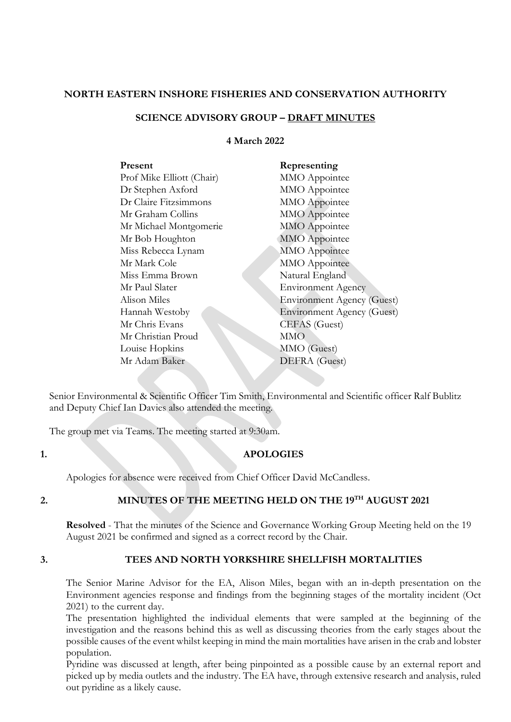#### **NORTH EASTERN INSHORE FISHERIES AND CONSERVATION AUTHORITY**

## **SCIENCE ADVISORY GROUP – DRAFT MINUTES**

#### **4 March 2022**

| Present                   | Representing                      |
|---------------------------|-----------------------------------|
| Prof Mike Elliott (Chair) | MMO Appointee                     |
| Dr Stephen Axford         | MMO Appointee                     |
| Dr Claire Fitzsimmons     | MMO Appointee                     |
| Mr Graham Collins         | <b>MMO</b> Appointee              |
| Mr Michael Montgomerie    | <b>MMO</b> Appointee              |
| Mr Bob Houghton           | <b>MMO</b> Appointee              |
| Miss Rebecca Lynam        | MMO Appointee                     |
| Mr Mark Cole              | MMO Appointee                     |
| Miss Emma Brown           | Natural England                   |
| Mr Paul Slater            | <b>Environment Agency</b>         |
| Alison Miles              | <b>Environment Agency (Guest)</b> |
| Hannah Westoby            | <b>Environment Agency (Guest)</b> |
| Mr Chris Evans            | CEFAS (Guest)                     |
| Mr Christian Proud        | <b>MMO</b>                        |
| Louise Hopkins            | MMO (Guest)                       |
| Mr Adam Baker             | DEFRA (Guest)                     |
|                           |                                   |

Senior Environmental & Scientific Officer Tim Smith, Environmental and Scientific officer Ralf Bublitz and Deputy Chief Ian Davies also attended the meeting.

The group met via Teams. The meeting started at 9:30am.

### **1. APOLOGIES**

Apologies for absence were received from Chief Officer David McCandless.

# **2. MINUTES OF THE MEETING HELD ON THE 19TH AUGUST 2021**

**Resolved** - That the minutes of the Science and Governance Working Group Meeting held on the 19 August 2021 be confirmed and signed as a correct record by the Chair.

### **3. TEES AND NORTH YORKSHIRE SHELLFISH MORTALITIES**

The Senior Marine Advisor for the EA, Alison Miles, began with an in-depth presentation on the Environment agencies response and findings from the beginning stages of the mortality incident (Oct 2021) to the current day.

The presentation highlighted the individual elements that were sampled at the beginning of the investigation and the reasons behind this as well as discussing theories from the early stages about the possible causes of the event whilst keeping in mind the main mortalities have arisen in the crab and lobster population.

Pyridine was discussed at length, after being pinpointed as a possible cause by an external report and picked up by media outlets and the industry. The EA have, through extensive research and analysis, ruled out pyridine as a likely cause.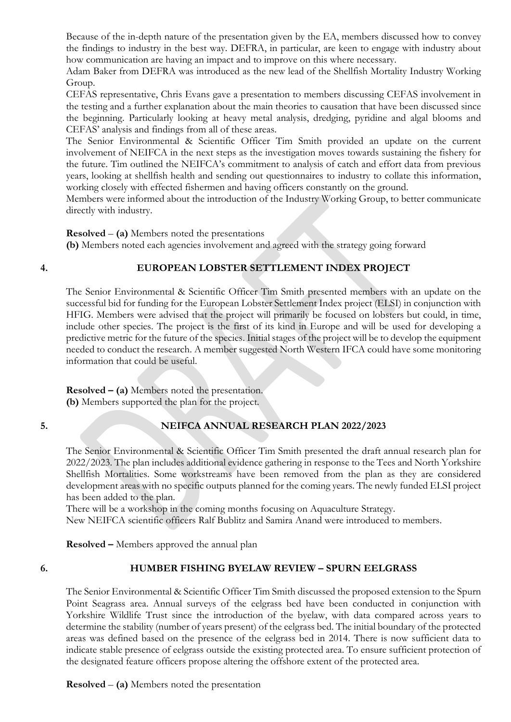Because of the in-depth nature of the presentation given by the EA, members discussed how to convey the findings to industry in the best way. DEFRA, in particular, are keen to engage with industry about how communication are having an impact and to improve on this where necessary.

Adam Baker from DEFRA was introduced as the new lead of the Shellfish Mortality Industry Working Group.

CEFAS representative, Chris Evans gave a presentation to members discussing CEFAS involvement in the testing and a further explanation about the main theories to causation that have been discussed since the beginning. Particularly looking at heavy metal analysis, dredging, pyridine and algal blooms and CEFAS' analysis and findings from all of these areas.

The Senior Environmental & Scientific Officer Tim Smith provided an update on the current involvement of NEIFCA in the next steps as the investigation moves towards sustaining the fishery for the future. Tim outlined the NEIFCA's commitment to analysis of catch and effort data from previous years, looking at shellfish health and sending out questionnaires to industry to collate this information, working closely with effected fishermen and having officers constantly on the ground.

Members were informed about the introduction of the Industry Working Group, to better communicate directly with industry.

**Resolved** – **(a)** Members noted the presentations

**(b)** Members noted each agencies involvement and agreed with the strategy going forward

# **4. EUROPEAN LOBSTER SETTLEMENT INDEX PROJECT**

The Senior Environmental & Scientific Officer Tim Smith presented members with an update on the successful bid for funding for the European Lobster Settlement Index project (ELSI) in conjunction with HFIG. Members were advised that the project will primarily be focused on lobsters but could, in time, include other species. The project is the first of its kind in Europe and will be used for developing a predictive metric for the future of the species. Initial stages of the project will be to develop the equipment needed to conduct the research. A member suggested North Western IFCA could have some monitoring information that could be useful.

**Resolved – (a)** Members noted the presentation. **(b)** Members supported the plan for the project.

# **5. NEIFCA ANNUAL RESEARCH PLAN 2022/2023**

The Senior Environmental & Scientific Officer Tim Smith presented the draft annual research plan for 2022/2023. The plan includes additional evidence gathering in response to the Tees and North Yorkshire Shellfish Mortalities. Some workstreams have been removed from the plan as they are considered development areas with no specific outputs planned for the coming years. The newly funded ELSI project has been added to the plan.

There will be a workshop in the coming months focusing on Aquaculture Strategy.

New NEIFCA scientific officers Ralf Bublitz and Samira Anand were introduced to members.

**Resolved –** Members approved the annual plan

### **6. HUMBER FISHING BYELAW REVIEW – SPURN EELGRASS**

The Senior Environmental & Scientific Officer Tim Smith discussed the proposed extension to the Spurn Point Seagrass area. Annual surveys of the eelgrass bed have been conducted in conjunction with Yorkshire Wildlife Trust since the introduction of the byelaw, with data compared across years to determine the stability (number of years present) of the eelgrass bed. The initial boundary of the protected areas was defined based on the presence of the eelgrass bed in 2014. There is now sufficient data to indicate stable presence of eelgrass outside the existing protected area. To ensure sufficient protection of the designated feature officers propose altering the offshore extent of the protected area.

**Resolved** – **(a)** Members noted the presentation